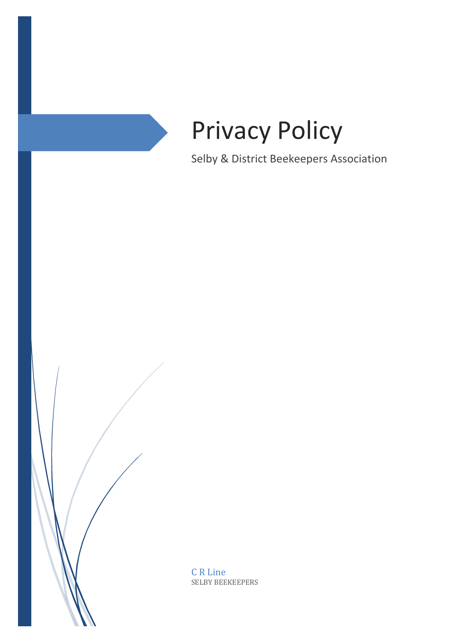

Selby & District Beekeepers Association

C R Line SELBY BEEKEEPERS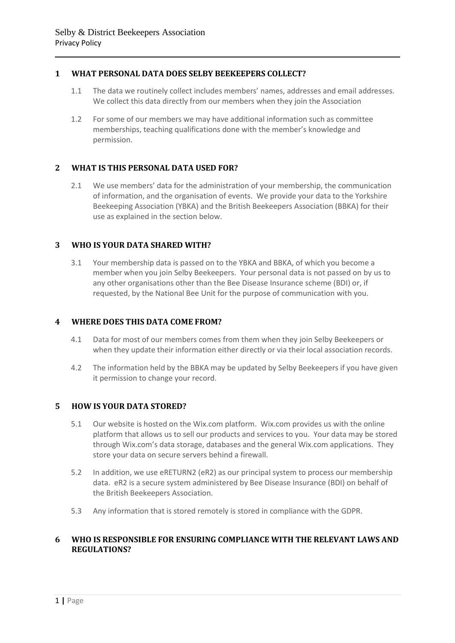# **1 WHAT PERSONAL DATA DOES SELBY BEEKEEPERS COLLECT?**

- 1.1 The data we routinely collect includes members' names, addresses and email addresses. We collect this data directly from our members when they join the Association
- 1.2 For some of our members we may have additional information such as committee memberships, teaching qualifications done with the member's knowledge and permission.

## **2 WHAT IS THIS PERSONAL DATA USED FOR?**

2.1 We use members' data for the administration of your membership, the communication of information, and the organisation of events. We provide your data to the Yorkshire Beekeeping Association (YBKA) and the British Beekeepers Association (BBKA) for their use as explained in the section below.

# **3 WHO IS YOUR DATA SHARED WITH?**

3.1 Your membership data is passed on to the YBKA and BBKA, of which you become a member when you join Selby Beekeepers. Your personal data is not passed on by us to any other organisations other than the Bee Disease Insurance scheme (BDI) or, if requested, by the National Bee Unit for the purpose of communication with you.

## **4 WHERE DOES THIS DATA COME FROM?**

- 4.1 Data for most of our members comes from them when they join Selby Beekeepers or when they update their information either directly or via their local association records.
- 4.2 The information held by the BBKA may be updated by Selby Beekeepers if you have given it permission to change your record.

# **5 HOW IS YOUR DATA STORED?**

- 5.1 Our website is hosted on the Wix.com platform. Wix.com provides us with the online platform that allows us to sell our products and services to you. Your data may be stored through Wix.com's data storage, databases and the general Wix.com applications. They store your data on secure servers behind a firewall.
- 5.2 In addition, we use eRETURN2 (eR2) as our principal system to process our membership data. eR2 is a secure system administered by Bee Disease Insurance (BDI) on behalf of the British Beekeepers Association.
- 5.3 Any information that is stored remotely is stored in compliance with the GDPR.

## **6 WHO IS RESPONSIBLE FOR ENSURING COMPLIANCE WITH THE RELEVANT LAWS AND REGULATIONS?**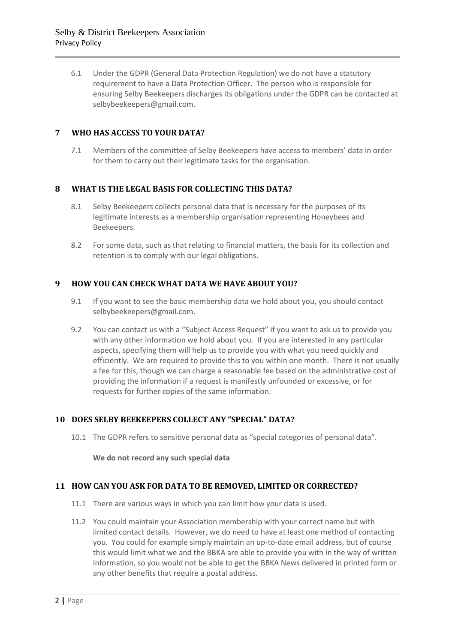6.1 Under the GDPR (General Data Protection Regulation) we do not have a statutory requirement to have a Data Protection Officer. The person who is responsible for ensuring Selby Beekeepers discharges its obligations under the GDPR can be contacted at selbybeekeepers@gmail.com.

# **7 WHO HAS ACCESS TO YOUR DATA?**

7.1 Members of the committee of Selby Beekeepers have access to members' data in order for them to carry out their legitimate tasks for the organisation.

## **8 WHAT IS THE LEGAL BASIS FOR COLLECTING THIS DATA?**

- 8.1 Selby Beekeepers collects personal data that is necessary for the purposes of its legitimate interests as a membership organisation representing Honeybees and Beekeepers.
- 8.2 For some data, such as that relating to financial matters, the basis for its collection and retention is to comply with our legal obligations.

## **9 HOW YOU CAN CHECK WHAT DATA WE HAVE ABOUT YOU?**

- 9.1 If you want to see the basic membership data we hold about you, you should contact selbybeekeepers@gmail.com.
- 9.2 You can contact us with a "Subject Access Request" if you want to ask us to provide you with any other information we hold about you. If you are interested in any particular aspects, specifying them will help us to provide you with what you need quickly and efficiently. We are required to provide this to you within one month. There is not usually a fee for this, though we can charge a reasonable fee based on the administrative cost of providing the information if a request is manifestly unfounded or excessive, or for requests for further copies of the same information.

## **10 DOES SELBY BEEKEEPERS COLLECT ANY "SPECIAL" DATA?**

10.1 The GDPR refers to sensitive personal data as "special categories of personal data".

**We do not record any such special data**

## **11 HOW CAN YOU ASK FOR DATA TO BE REMOVED, LIMITED OR CORRECTED?**

- 11.1 There are various ways in which you can limit how your data is used.
- 11.2 You could maintain your Association membership with your correct name but with limited contact details. However, we do need to have at least one method of contacting you. You could for example simply maintain an up-to-date email address, but of course this would limit what we and the BBKA are able to provide you with in the way of written information, so you would not be able to get the BBKA News delivered in printed form or any other benefits that require a postal address.